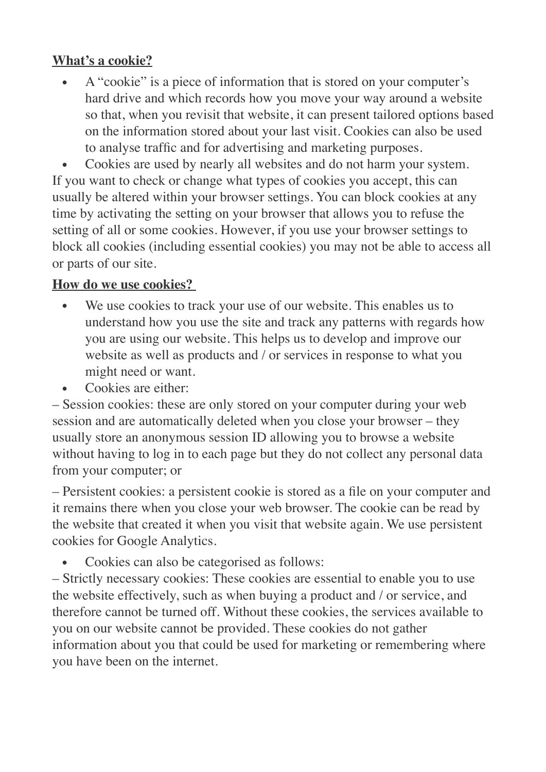## **What's a cookie?**

• A "cookie" is a piece of information that is stored on your computer's hard drive and which records how you move your way around a website so that, when you revisit that website, it can present tailored options based on the information stored about your last visit. Cookies can also be used to analyse traffic and for advertising and marketing purposes.

• Cookies are used by nearly all websites and do not harm your system. If you want to check or change what types of cookies you accept, this can usually be altered within your browser settings. You can block cookies at any time by activating the setting on your browser that allows you to refuse the setting of all or some cookies. However, if you use your browser settings to block all cookies (including essential cookies) you may not be able to access all or parts of our site.

## **How do we use cookies?**

- We use cookies to track your use of our website. This enables us to understand how you use the site and track any patterns with regards how you are using our website. This helps us to develop and improve our website as well as products and / or services in response to what you might need or want.
- Cookies are either:

– Session cookies: these are only stored on your computer during your web session and are automatically deleted when you close your browser – they usually store an anonymous session ID allowing you to browse a website without having to log in to each page but they do not collect any personal data from your computer; or

– Persistent cookies: a persistent cookie is stored as a file on your computer and it remains there when you close your web browser. The cookie can be read by the website that created it when you visit that website again. We use persistent cookies for Google Analytics.

Cookies can also be categorised as follows:

– Strictly necessary cookies: These cookies are essential to enable you to use the website effectively, such as when buying a product and / or service, and therefore cannot be turned off. Without these cookies, the services available to you on our website cannot be provided. These cookies do not gather information about you that could be used for marketing or remembering where you have been on the internet.